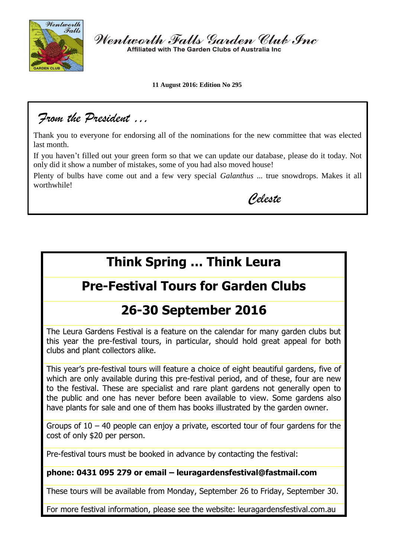

Wentworth Falls Garden Club Inc Affiliated with The Garden Clubs of Australia Inc.

**11 August 2016: Edition No 295**

*From the President …*

Thank you to everyone for endorsing all of the nominations for the new committee that was elected last month.

If you haven't filled out your green form so that we can update our database, please do it today. Not only did it show a number of mistakes, some of you had also moved house!

Plenty of bulbs have come out and a few very special *Galanthus* ... true snowdrops. Makes it all worthwhile!

*Celeste*

# **Think Spring … Think Leura**

# **Pre-Festival Tours for Garden Clubs**

# **26-30 September 2016**

The Leura Gardens Festival is a feature on the calendar for many garden clubs but this year the pre-festival tours, in particular, should hold great appeal for both clubs and plant collectors alike.

This year's pre-festival tours will feature a choice of eight beautiful gardens, five of which are only available during this pre-festival period, and of these, four are new to the festival. These are specialist and rare plant gardens not generally open to the public and one has never before been available to view. Some gardens also have plants for sale and one of them has books illustrated by the garden owner.

Groups of  $10 - 40$  people can enjoy a private, escorted tour of four gardens for the cost of only \$20 per person.

Pre-festival tours must be booked in advance by contacting the festival:

### **phone: 0431 095 279 or email – leuragardensfestival@fastmail.com**

These tours will be available from Monday, September 26 to Friday, September 30.

For more festival information, please see the website: leuragardensfestival.com.au